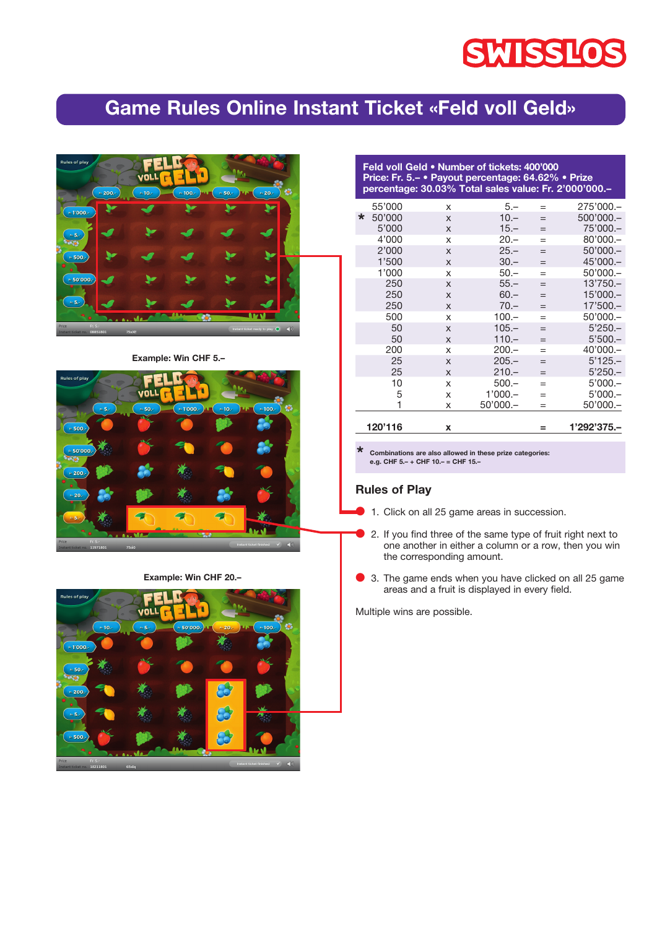# **SWISSLOS**

## Game Rules Online Instant Ticket «Feld voll Geld»



Example: Win CHF 5.–



Example: Win CHF 20 .-



| Feld voll Geld • Number of tickets: 400'000<br>Price: Fr. 5.- • Payout percentage: 64.62% • Prize<br>percentage: 30.03% Total sales value: Fr. 2'000'000.- |  |         |
|------------------------------------------------------------------------------------------------------------------------------------------------------------|--|---------|
| EE'OOO                                                                                                                                                     |  | 275'000 |

|         | 120'116 | X |            | =   | 1'292'375.- |
|---------|---------|---|------------|-----|-------------|
|         | 1       | X | $50'000 -$ | $=$ | $50'000$ .  |
|         | 5       | X | $1'000 -$  | $=$ | $5'000 -$   |
|         | 10      | X | $500 -$    | $=$ | $5'000 -$   |
|         | 25      | X | $210 -$    | $=$ | $5'250 -$   |
|         | 25      | X | $205 -$    | $=$ | $5'125 -$   |
|         | 200     | X | $200 -$    | $=$ | 40'000.-    |
|         | 50      | X | $110 -$    | $=$ | $5'500 -$   |
|         | 50      | X | $105 -$    | $=$ | $5'250 -$   |
|         | 500     | X | $100 -$    | $=$ | $50'000 -$  |
|         | 250     | X | $70 -$     | $=$ | $17'500 -$  |
|         | 250     | X | $60 -$     | $=$ | $15'000 -$  |
|         | 250     | X | $55 -$     | $=$ | $13'750 -$  |
|         | 1'000   | X | $50 -$     | $=$ | $50'000$ .  |
|         | 1'500   | X | $30 -$     | $=$ | 45'000.-    |
|         | 2'000   | X | $25 -$     | $=$ | $50'000 -$  |
|         | 4'000   | X | $20 -$     | $=$ | $80'000$ .  |
|         | 5'000   | X | $15 -$     | $=$ | 75'000.-    |
| $\star$ | 50'000  | X | $10 -$     | $=$ | 500'000 .-  |
|         | 55'000  | X | 5.-        | $=$ | 275'000 .-  |

\* Combinations are also allowed in these prize categories: e.g. CHF 5.– + CHF 10.– = CHF 15.–

#### Rules of Play

- 1. Click on all 25 game areas in succession.
- 2. If you find three of the same type of fruit right next to one another in either a column or a row, then you win the corresponding amount.
- 3. The game ends when you have clicked on all 25 game areas and a fruit is displayed in every field.

Multiple wins are possible.